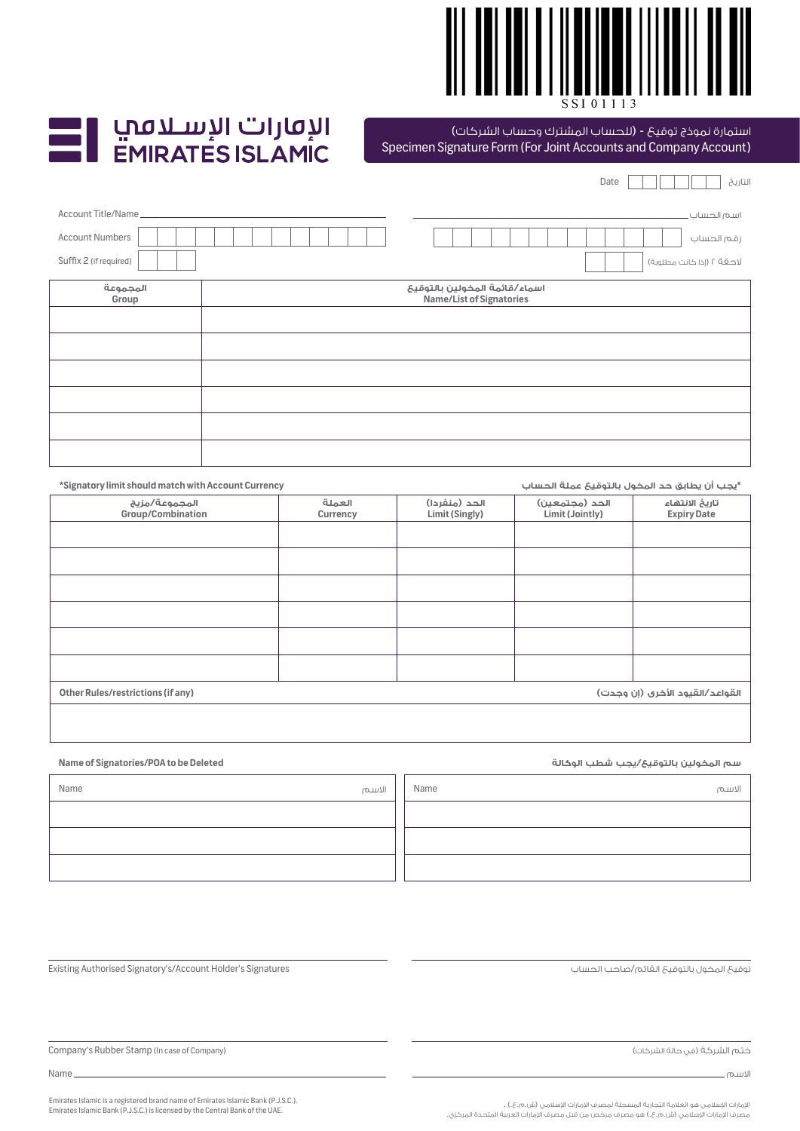

## I الإمارات الإسـلامب<br>EMIRATES ISLAMIC

## .<br>استمارة نموذج توقيع - (للحساب المشترك وحساب الشركات)

|  |  | Specimen Signature Form (For Joint Accounts and Company Account) |  |
|--|--|------------------------------------------------------------------|--|
|  |  |                                                                  |  |

|                        | التاريخ<br>Date                                           |
|------------------------|-----------------------------------------------------------|
| Account Title/Name_    | اسم الحساب.                                               |
| <b>Account Numbers</b> | رقم الحساب                                                |
| Suffix 2 (if required) | لاحقة ٢ (إذا حَانت مطلوبة)                                |
| المجموعة<br>Group      | اسماء/قائمة المخولين بالتوقيع<br>Name/List of Signatories |
|                        |                                                           |
|                        |                                                           |
|                        |                                                           |
|                        |                                                           |
|                        |                                                           |
|                        |                                                           |

| *Signatory limit should match with Account Currency                  |                    |                                 | *يجب أن يطابق حد المخول بالتوقيع عملة الحساب |                                      |  |
|----------------------------------------------------------------------|--------------------|---------------------------------|----------------------------------------------|--------------------------------------|--|
| المجموعة/مزيج<br><b>Group/Combination</b>                            | العملة<br>Currency | الحد (منفردا)<br>Limit (Singly) | الحد (مجتمعين)<br>Limit (Jointly)            | تاريخ الانتهاء<br><b>Expiry Date</b> |  |
|                                                                      |                    |                                 |                                              |                                      |  |
|                                                                      |                    |                                 |                                              |                                      |  |
|                                                                      |                    |                                 |                                              |                                      |  |
|                                                                      |                    |                                 |                                              |                                      |  |
|                                                                      |                    |                                 |                                              |                                      |  |
|                                                                      |                    |                                 |                                              |                                      |  |
| Other Rules/restrictions (if any)<br>القواعد/القيود الأخرى (إن وجدت) |                    |                                 |                                              |                                      |  |
|                                                                      |                    |                                 |                                              |                                      |  |

| Name of Signatories/POA to be Deleted |       |      | سم المخولين بالتوقيع/يجب شطب الوكالة |
|---------------------------------------|-------|------|--------------------------------------|
| Name                                  | الاسم | Name | الاسم                                |
|                                       |       |      |                                      |
|                                       |       |      |                                      |
|                                       |       |      |                                      |

توقيع المخول بالتوقيع القائم/صاحب الحساب

ختم الشركة (في حالة الشركات)

االسم

Company's Rubber Stamp (In case of Company)

**Name of Signatories/POA to be Deleted** 

Name

Emirates Islamic is a registered brand name of Emirates Islamic Bank (P.J.S.C.). Emirates Islamic Bank (P.J.S.C.) is licensed by the Central Bank of the UAE.

Existing Authorised Signatory's/Account Holder's Signatures